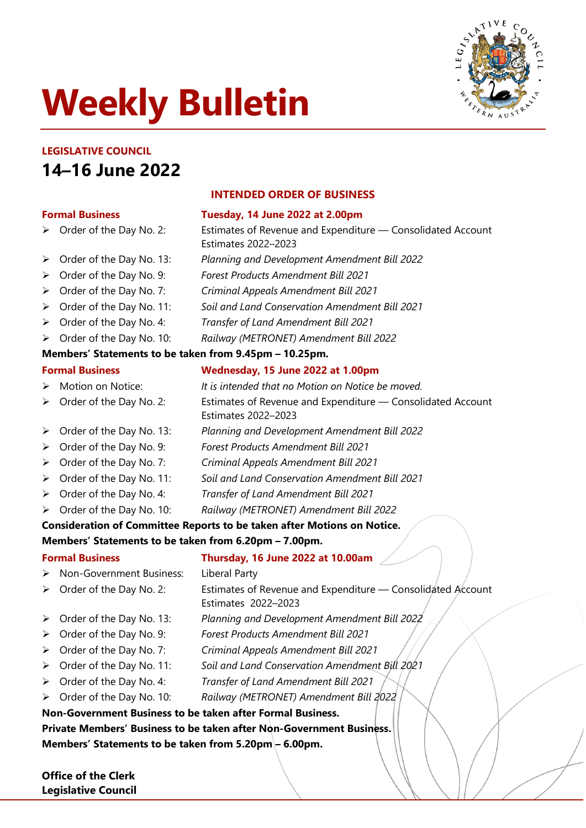# **Weekly Bulletin**



# **LEGISLATIVE COUNCIL 14–16 June 2022**

#### **Formal Business Tuesday, 14 June 2022 at 2.00pm**

> Order of the Day No. 2: Estimates of Revenue and Expenditure — Consolidated Account

- Order of the Day No. 13: *Planning and Development Amendment Bill 2022*
- Order of the Day No. 9: *Forest Products Amendment Bill 2021*
- Order of the Day No. 7: *Criminal Appeals Amendment Bill 2021*
- Order of the Day No. 11: *Soil and Land Conservation Amendment Bill 2021*
- Order of the Day No. 4: *Transfer of Land Amendment Bill 2021*
- Order of the Day No. 10: *Railway (METRONET) Amendment Bill 2022*

#### **Members' Statements to be taken from 9.45pm – 10.25pm.**

# **Formal Business Wednesday, 15 June 2022 at 1.00pm**

**INTENDED ORDER OF BUSINESS**

Estimates 2022–2023

- Motion on Notice: *It is intended that no Motion on Notice be moved.*
- ▶ Order of the Day No. 2: Estimates of Revenue and Expenditure Consolidated Account

Estimates 2022–2023

- Order of the Day No. 13: *Planning and Development Amendment Bill 2022*
- Order of the Day No. 9: *Forest Products Amendment Bill 2021*
- Order of the Day No. 7: *Criminal Appeals Amendment Bill 2021*
- Order of the Day No. 11: *Soil and Land Conservation Amendment Bill 2021*
- Order of the Day No. 4: *Transfer of Land Amendment Bill 2021*
- Order of the Day No. 10: *Railway (METRONET) Amendment Bill 2022*

## **Consideration of Committee Reports to be taken after Motions on Notice.**

#### **Members' Statements to be taken from 6.20pm – 7.00pm.**

## **Formal Business Thursday, 16 June 2022 at 10.00am**

- ▶ Non-Government Business: Liberal Party
- $\triangleright$  Order of the Day No. 2: Estimates of Revenue and Expenditure Consolidated Account Estimates 2022–2023
- Order of the Day No. 13: *Planning and Development Amendment Bill 2022*
- Order of the Day No. 9: *Forest Products Amendment Bill 2021*
- Order of the Day No. 7: *Criminal Appeals Amendment Bill 2021*
- Order of the Day No. 11: *Soil and Land Conservation Amendment Bill 2021*
- Order of the Day No. 4: *Transfer of Land Amendment Bill 2021*
- Order of the Day No. 10: *Railway (METRONET) Amendment Bill 2022*

#### **Non-Government Business to be taken after Formal Business. Private Members' Business to be taken after Non-Government Business.**

**Members' Statements to be taken from 5.20pm – 6.00pm.**

**Office of the Clerk Legislative Council**